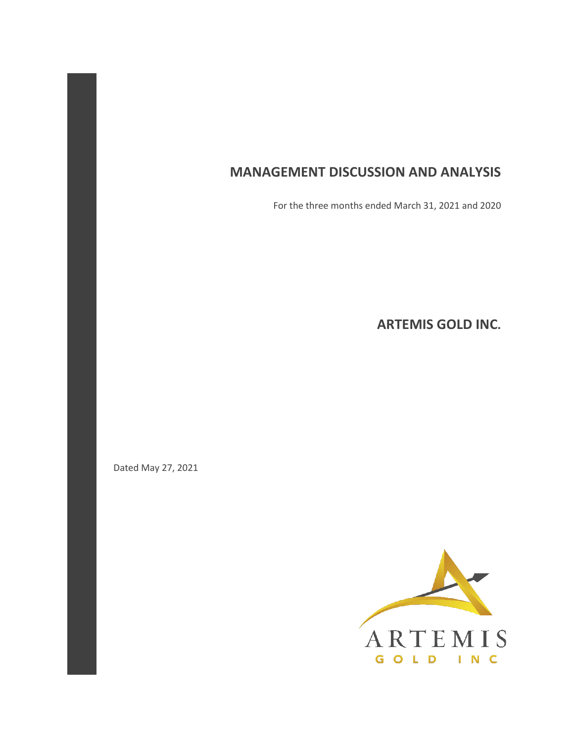# **MANAGEMENT DISCUSSION AND ANALYSIS**

For the three months ended March 31, 2021 and 2020

**ARTEMIS GOLD INC.** 

Dated May 27, 2021

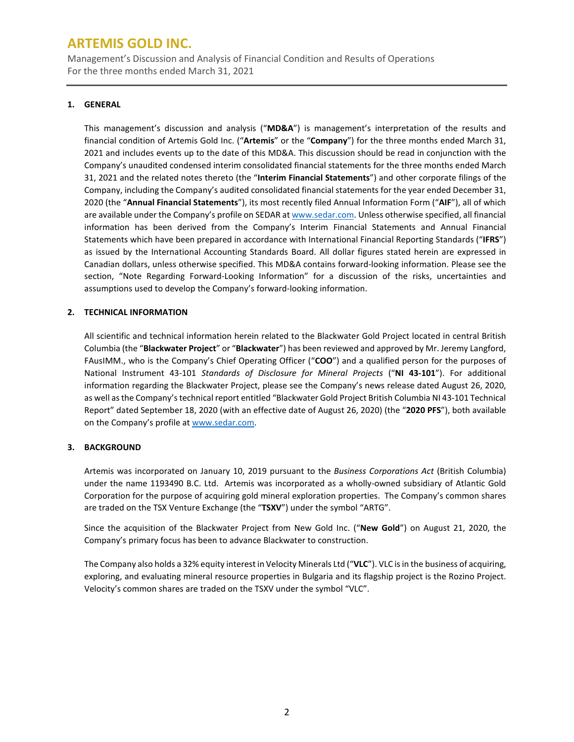Management's Discussion and Analysis of Financial Condition and Results of Operations For the three months ended March 31, 2021

### **1. GENERAL**

This management's discussion and analysis ("**MD&A**") is management's interpretation of the results and financial condition of Artemis Gold Inc. ("**Artemis**" or the "**Company**") for the three months ended March 31, 2021 and includes events up to the date of this MD&A. This discussion should be read in conjunction with the Company's unaudited condensed interim consolidated financial statements for the three months ended March 31, 2021 and the related notes thereto (the "**Interim Financial Statements**") and other corporate filings of the Company, including the Company's audited consolidated financial statements for the year ended December 31, 2020 (the "**Annual Financial Statements**"), its most recently filed Annual Information Form ("**AIF**"), all of which are available under the Company's profile on SEDAR a[t www.sedar.com.](http://www.sedar.com/) Unless otherwise specified, all financial information has been derived from the Company's Interim Financial Statements and Annual Financial Statements which have been prepared in accordance with International Financial Reporting Standards ("**IFRS**") as issued by the International Accounting Standards Board. All dollar figures stated herein are expressed in Canadian dollars, unless otherwise specified. This MD&A contains forward-looking information. Please see the section, "Note Regarding Forward-Looking Information" for a discussion of the risks, uncertainties and assumptions used to develop the Company's forward-looking information.

### **2. TECHNICAL INFORMATION**

All scientific and technical information herein related to the Blackwater Gold Project located in central British Columbia (the "**Blackwater Project**" or "**Blackwater**") has been reviewed and approved by Mr. Jeremy Langford, FAusIMM., who is the Company's Chief Operating Officer ("**COO**") and a qualified person for the purposes of National Instrument 43-101 *Standards of Disclosure for Mineral Projects* ("**NI 43-101**"). For additional information regarding the Blackwater Project, please see the Company's news release dated August 26, 2020, as well as the Company's technical report entitled "Blackwater Gold Project British Columbia NI 43-101 Technical Report" dated September 18, 2020 (with an effective date of August 26, 2020) (the "**2020 PFS**"), both available on the Company's profile at [www.sedar.com.](http://www.sedar.com/)

### **3. BACKGROUND**

Artemis was incorporated on January 10, 2019 pursuant to the *Business Corporations Act* (British Columbia) under the name 1193490 B.C. Ltd. Artemis was incorporated as a wholly-owned subsidiary of Atlantic Gold Corporation for the purpose of acquiring gold mineral exploration properties. The Company's common shares are traded on the TSX Venture Exchange (the "**TSXV**") under the symbol "ARTG".

Since the acquisition of the Blackwater Project from New Gold Inc. ("**New Gold**") on August 21, 2020, the Company's primary focus has been to advance Blackwater to construction.

The Company also holds a 32% equity interest in Velocity Minerals Ltd ("**VLC**"). VLC is in the business of acquiring, exploring, and evaluating mineral resource properties in Bulgaria and its flagship project is the Rozino Project. Velocity's common shares are traded on the TSXV under the symbol "VLC".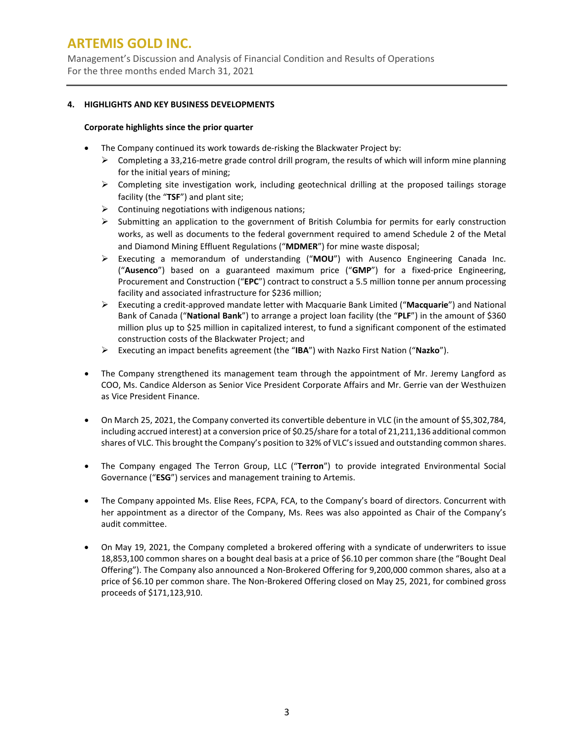Management's Discussion and Analysis of Financial Condition and Results of Operations For the three months ended March 31, 2021

### **4. HIGHLIGHTS AND KEY BUSINESS DEVELOPMENTS**

### **Corporate highlights since the prior quarter**

- The Company continued its work towards de-risking the Blackwater Project by:
	- $\triangleright$  Completing a 33,216-metre grade control drill program, the results of which will inform mine planning for the initial years of mining;
	- $\triangleright$  Completing site investigation work, including geotechnical drilling at the proposed tailings storage facility (the "**TSF**") and plant site;
	- $\triangleright$  Continuing negotiations with indigenous nations;
	- $\triangleright$  Submitting an application to the government of British Columbia for permits for early construction works, as well as documents to the federal government required to amend Schedule 2 of the Metal and Diamond Mining Effluent Regulations ("**MDMER**") for mine waste disposal;
	- Executing a memorandum of understanding ("**MOU**") with Ausenco Engineering Canada Inc. ("**Ausenco**") based on a guaranteed maximum price ("**GMP**") for a fixed-price Engineering, Procurement and Construction ("**EPC**") contract to construct a 5.5 million tonne per annum processing facility and associated infrastructure for \$236 million;
	- Executing a credit-approved mandate letter with Macquarie Bank Limited ("**Macquarie**") and National Bank of Canada ("**National Bank**") to arrange a project loan facility (the "**PLF**") in the amount of \$360 million plus up to \$25 million in capitalized interest, to fund a significant component of the estimated construction costs of the Blackwater Project; and
	- Executing an impact benefits agreement (the "**IBA**") with Nazko First Nation ("**Nazko**").
- The Company strengthened its management team through the appointment of Mr. Jeremy Langford as COO, Ms. Candice Alderson as Senior Vice President Corporate Affairs and Mr. Gerrie van der Westhuizen as Vice President Finance.
- On March 25, 2021, the Company converted its convertible debenture in VLC (in the amount of \$5,302,784, including accrued interest) at a conversion price of \$0.25/share for a total of 21,211,136 additional common shares of VLC. This brought the Company's position to 32% of VLC's issued and outstanding common shares.
- The Company engaged The Terron Group, LLC ("**Terron**") to provide integrated Environmental Social Governance ("**ESG**") services and management training to Artemis.
- The Company appointed Ms. Elise Rees, FCPA, FCA, to the Company's board of directors. Concurrent with her appointment as a director of the Company, Ms. Rees was also appointed as Chair of the Company's audit committee.
- On May 19, 2021, the Company completed a brokered offering with a syndicate of underwriters to issue 18,853,100 common shares on a bought deal basis at a price of \$6.10 per common share (the "Bought Deal Offering"). The Company also announced a Non-Brokered Offering for 9,200,000 common shares, also at a price of \$6.10 per common share. The Non-Brokered Offering closed on May 25, 2021, for combined gross proceeds of \$171,123,910.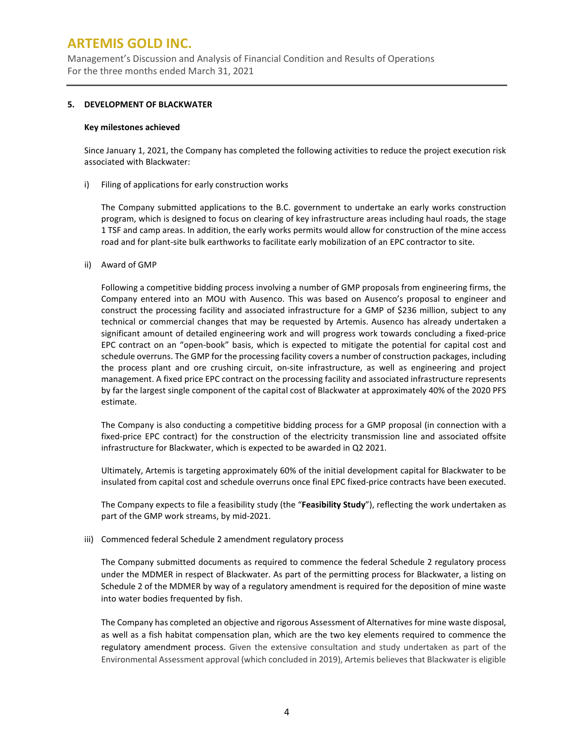Management's Discussion and Analysis of Financial Condition and Results of Operations For the three months ended March 31, 2021

### **5. DEVELOPMENT OF BLACKWATER**

#### **Key milestones achieved**

Since January 1, 2021, the Company has completed the following activities to reduce the project execution risk associated with Blackwater:

i) Filing of applications for early construction works

The Company submitted applications to the B.C. government to undertake an early works construction program, which is designed to focus on clearing of key infrastructure areas including haul roads, the stage 1 TSF and camp areas. In addition, the early works permits would allow for construction of the mine access road and for plant-site bulk earthworks to facilitate early mobilization of an EPC contractor to site.

ii) Award of GMP

Following a competitive bidding process involving a number of GMP proposals from engineering firms, the Company entered into an MOU with Ausenco. This was based on Ausenco's proposal to engineer and construct the processing facility and associated infrastructure for a GMP of \$236 million, subject to any technical or commercial changes that may be requested by Artemis. Ausenco has already undertaken a significant amount of detailed engineering work and will progress work towards concluding a fixed-price EPC contract on an "open-book" basis, which is expected to mitigate the potential for capital cost and schedule overruns. The GMP for the processing facility covers a number of construction packages, including the process plant and ore crushing circuit, on-site infrastructure, as well as engineering and project management. A fixed price EPC contract on the processing facility and associated infrastructure represents by far the largest single component of the capital cost of Blackwater at approximately 40% of the 2020 PFS estimate.

The Company is also conducting a competitive bidding process for a GMP proposal (in connection with a fixed-price EPC contract) for the construction of the electricity transmission line and associated offsite infrastructure for Blackwater, which is expected to be awarded in Q2 2021.

Ultimately, Artemis is targeting approximately 60% of the initial development capital for Blackwater to be insulated from capital cost and schedule overruns once final EPC fixed-price contracts have been executed.

The Company expects to file a feasibility study (the "**Feasibility Study**"), reflecting the work undertaken as part of the GMP work streams, by mid-2021.

iii) Commenced federal Schedule 2 amendment regulatory process

The Company submitted documents as required to commence the federal Schedule 2 regulatory process under the MDMER in respect of Blackwater. As part of the permitting process for Blackwater, a listing on Schedule 2 of the MDMER by way of a regulatory amendment is required for the deposition of mine waste into water bodies frequented by fish.

The Company has completed an objective and rigorous Assessment of Alternatives for mine waste disposal, as well as a fish habitat compensation plan, which are the two key elements required to commence the regulatory amendment process. Given the extensive consultation and study undertaken as part of the Environmental Assessment approval (which concluded in 2019), Artemis believes that Blackwater is eligible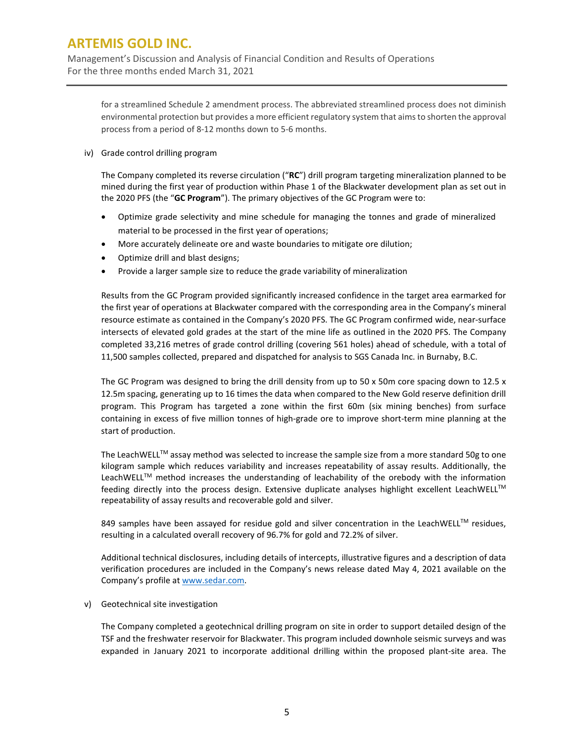Management's Discussion and Analysis of Financial Condition and Results of Operations For the three months ended March 31, 2021

for a streamlined Schedule 2 amendment process. The abbreviated streamlined process does not diminish environmental protection but provides a more efficient regulatory system that aims to shorten the approval process from a period of 8-12 months down to 5-6 months.

iv) Grade control drilling program

The Company completed its reverse circulation ("**RC**") drill program targeting mineralization planned to be mined during the first year of production within Phase 1 of the Blackwater development plan as set out in the 2020 PFS (the "**GC Program**"). The primary objectives of the GC Program were to:

- Optimize grade selectivity and mine schedule for managing the tonnes and grade of mineralized material to be processed in the first year of operations;
- More accurately delineate ore and waste boundaries to mitigate ore dilution;
- Optimize drill and blast designs;
- Provide a larger sample size to reduce the grade variability of mineralization

Results from the GC Program provided significantly increased confidence in the target area earmarked for the first year of operations at Blackwater compared with the corresponding area in the Company's mineral resource estimate as contained in the Company's 2020 PFS. The GC Program confirmed wide, near-surface intersects of elevated gold grades at the start of the mine life as outlined in the 2020 PFS. The Company completed 33,216 metres of grade control drilling (covering 561 holes) ahead of schedule, with a total of 11,500 samples collected, prepared and dispatched for analysis to SGS Canada Inc. in Burnaby, B.C.

The GC Program was designed to bring the drill density from up to 50 x 50m core spacing down to 12.5 x 12.5m spacing, generating up to 16 times the data when compared to the New Gold reserve definition drill program. This Program has targeted a zone within the first 60m (six mining benches) from surface containing in excess of five million tonnes of high-grade ore to improve short-term mine planning at the start of production.

The LeachWELL™ assay method was selected to increase the sample size from a more standard 50g to one kilogram sample which reduces variability and increases repeatability of assay results. Additionally, the LeachWELL<sup>TM</sup> method increases the understanding of leachability of the orebody with the information feeding directly into the process design. Extensive duplicate analyses highlight excellent LeachWELL™ repeatability of assay results and recoverable gold and silver.

849 samples have been assayed for residue gold and silver concentration in the LeachWELL<sup>TM</sup> residues, resulting in a calculated overall recovery of 96.7% for gold and 72.2% of silver.

Additional technical disclosures, including details of intercepts, illustrative figures and a description of data verification procedures are included in the Company's news release dated May 4, 2021 available on the Company's profile a[t www.sedar.com.](http://www.sedar.com/)

v) Geotechnical site investigation

The Company completed a geotechnical drilling program on site in order to support detailed design of the TSF and the freshwater reservoir for Blackwater. This program included downhole seismic surveys and was expanded in January 2021 to incorporate additional drilling within the proposed plant-site area. The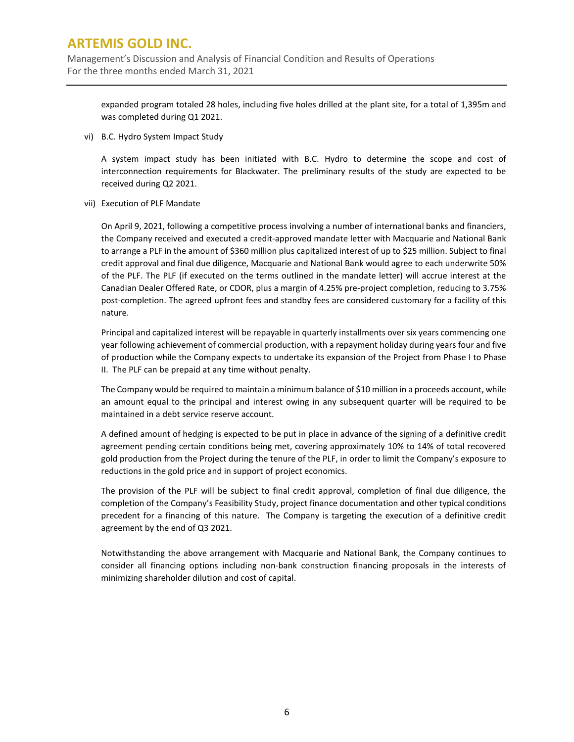Management's Discussion and Analysis of Financial Condition and Results of Operations For the three months ended March 31, 2021

expanded program totaled 28 holes, including five holes drilled at the plant site, for a total of 1,395m and was completed during Q1 2021.

vi) B.C. Hydro System Impact Study

A system impact study has been initiated with B.C. Hydro to determine the scope and cost of interconnection requirements for Blackwater. The preliminary results of the study are expected to be received during Q2 2021.

vii) Execution of PLF Mandate

On April 9, 2021, following a competitive process involving a number of international banks and financiers, the Company received and executed a credit-approved mandate letter with Macquarie and National Bank to arrange a PLF in the amount of \$360 million plus capitalized interest of up to \$25 million. Subject to final credit approval and final due diligence, Macquarie and National Bank would agree to each underwrite 50% of the PLF. The PLF (if executed on the terms outlined in the mandate letter) will accrue interest at the Canadian Dealer Offered Rate, or CDOR, plus a margin of 4.25% pre-project completion, reducing to 3.75% post-completion. The agreed upfront fees and standby fees are considered customary for a facility of this nature.

Principal and capitalized interest will be repayable in quarterly installments over six years commencing one year following achievement of commercial production, with a repayment holiday during years four and five of production while the Company expects to undertake its expansion of the Project from Phase I to Phase II. The PLF can be prepaid at any time without penalty.

The Company would be required to maintain a minimum balance of \$10 million in a proceeds account, while an amount equal to the principal and interest owing in any subsequent quarter will be required to be maintained in a debt service reserve account.

A defined amount of hedging is expected to be put in place in advance of the signing of a definitive credit agreement pending certain conditions being met, covering approximately 10% to 14% of total recovered gold production from the Project during the tenure of the PLF, in order to limit the Company's exposure to reductions in the gold price and in support of project economics.

The provision of the PLF will be subject to final credit approval, completion of final due diligence, the completion of the Company's Feasibility Study, project finance documentation and other typical conditions precedent for a financing of this nature. The Company is targeting the execution of a definitive credit agreement by the end of Q3 2021.

Notwithstanding the above arrangement with Macquarie and National Bank, the Company continues to consider all financing options including non-bank construction financing proposals in the interests of minimizing shareholder dilution and cost of capital.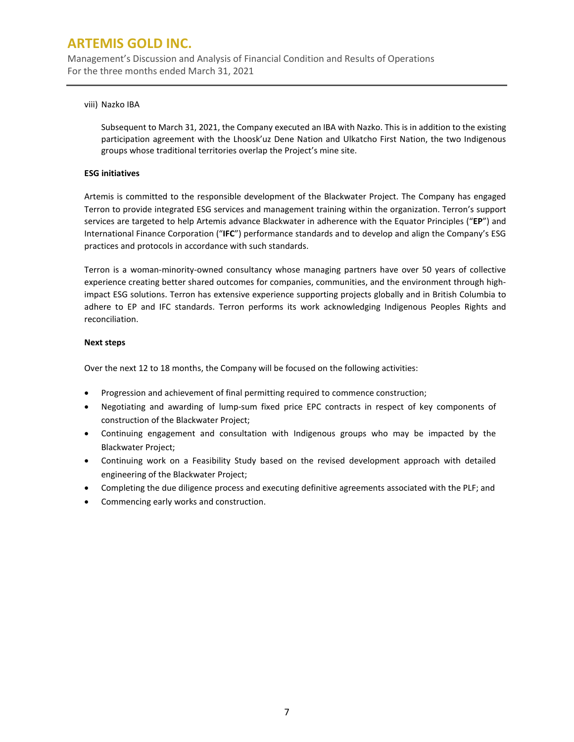Management's Discussion and Analysis of Financial Condition and Results of Operations For the three months ended March 31, 2021

### viii) Nazko IBA

Subsequent to March 31, 2021, the Company executed an IBA with Nazko. This is in addition to the existing participation agreement with the Lhoosk'uz Dene Nation and Ulkatcho First Nation, the two Indigenous groups whose traditional territories overlap the Project's mine site.

### **ESG initiatives**

Artemis is committed to the responsible development of the Blackwater Project. The Company has engaged Terron to provide integrated ESG services and management training within the organization. Terron's support services are targeted to help Artemis advance Blackwater in adherence with the Equator Principles ("**EP**") and International Finance Corporation ("**IFC**") performance standards and to develop and align the Company's ESG practices and protocols in accordance with such standards.

Terron is a woman-minority-owned consultancy whose managing partners have over 50 years of collective experience creating better shared outcomes for companies, communities, and the environment through highimpact ESG solutions. Terron has extensive experience supporting projects globally and in British Columbia to adhere to EP and IFC standards. Terron performs its work acknowledging Indigenous Peoples Rights and reconciliation.

### **Next steps**

Over the next 12 to 18 months, the Company will be focused on the following activities:

- Progression and achievement of final permitting required to commence construction;
- Negotiating and awarding of lump-sum fixed price EPC contracts in respect of key components of construction of the Blackwater Project;
- Continuing engagement and consultation with Indigenous groups who may be impacted by the Blackwater Project;
- Continuing work on a Feasibility Study based on the revised development approach with detailed engineering of the Blackwater Project;
- Completing the due diligence process and executing definitive agreements associated with the PLF; and
- Commencing early works and construction.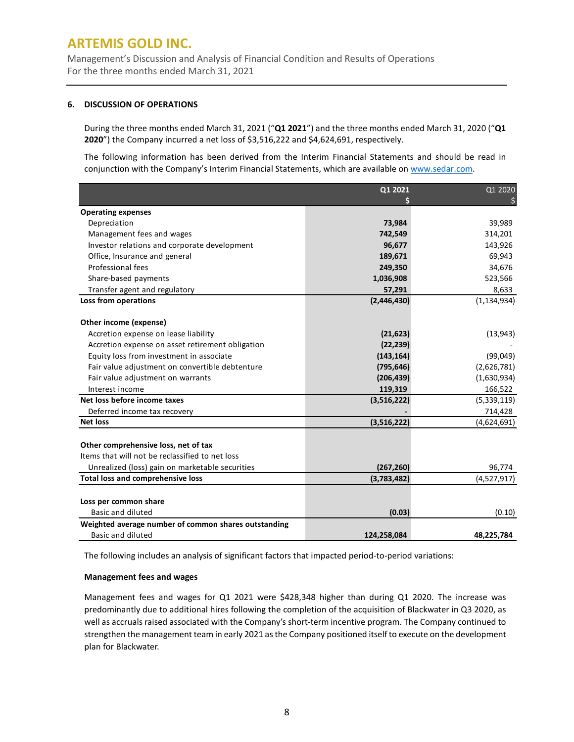Management's Discussion and Analysis of Financial Condition and Results of Operations For the three months ended March 31, 2021

#### **6. DISCUSSION OF OPERATIONS**

During the three months ended March 31, 2021 ("**Q1 2021**") and the three months ended March 31, 2020 ("**Q1 2020**") the Company incurred a net loss of \$3,516,222 and \$4,624,691, respectively.

The following information has been derived from the Interim Financial Statements and should be read in conjunction with the Company's Interim Financial Statements, which are available on [www.sedar.com.](http://www.sedar.com/)

|                                                      | Q1 2021     | Q1 2020       |
|------------------------------------------------------|-------------|---------------|
|                                                      |             |               |
| <b>Operating expenses</b>                            |             |               |
| Depreciation                                         | 73,984      | 39,989        |
| Management fees and wages                            | 742,549     | 314,201       |
| Investor relations and corporate development         | 96,677      | 143,926       |
| Office, Insurance and general                        | 189,671     | 69,943        |
| Professional fees                                    | 249,350     | 34,676        |
| Share-based payments                                 | 1,036,908   | 523,566       |
| Transfer agent and regulatory                        | 57,291      | 8,633         |
| Loss from operations                                 | (2,446,430) | (1, 134, 934) |
| Other income (expense)                               |             |               |
| Accretion expense on lease liability                 | (21, 623)   | (13, 943)     |
| Accretion expense on asset retirement obligation     | (22, 239)   |               |
| Equity loss from investment in associate             | (143, 164)  | (99,049)      |
| Fair value adjustment on convertible debtenture      | (795, 646)  | (2,626,781)   |
| Fair value adjustment on warrants                    | (206, 439)  | (1,630,934)   |
| Interest income                                      | 119,319     | 166,522       |
| Net loss before income taxes                         | (3,516,222) | (5,339,119)   |
| Deferred income tax recovery                         |             | 714,428       |
| <b>Net loss</b>                                      | (3,516,222) | (4,624,691)   |
| Other comprehensive loss, net of tax                 |             |               |
| Items that will not be reclassified to net loss      |             |               |
| Unrealized (loss) gain on marketable securities      | (267, 260)  | 96,774        |
| <b>Total loss and comprehensive loss</b>             | (3,783,482) | (4,527,917)   |
| Loss per common share                                |             |               |
| <b>Basic and diluted</b>                             | (0.03)      | (0.10)        |
| Weighted average number of common shares outstanding |             |               |
| <b>Basic and diluted</b>                             | 124,258,084 | 48,225,784    |
|                                                      |             |               |

The following includes an analysis of significant factors that impacted period-to-period variations:

#### **Management fees and wages**

Management fees and wages for Q1 2021 were \$428,348 higher than during Q1 2020. The increase was predominantly due to additional hires following the completion of the acquisition of Blackwater in Q3 2020, as well as accruals raised associated with the Company's short-term incentive program. The Company continued to strengthen the management team in early 2021 as the Company positioned itself to execute on the development plan for Blackwater.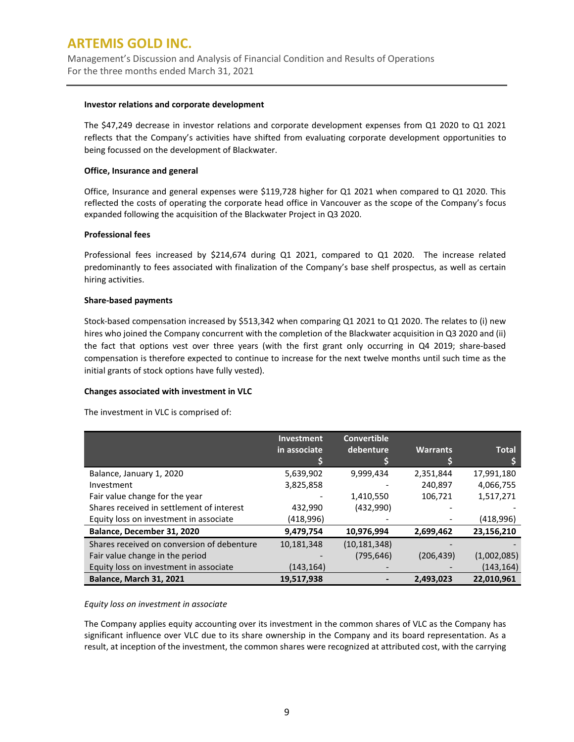Management's Discussion and Analysis of Financial Condition and Results of Operations For the three months ended March 31, 2021

#### **Investor relations and corporate development**

The \$47,249 decrease in investor relations and corporate development expenses from Q1 2020 to Q1 2021 reflects that the Company's activities have shifted from evaluating corporate development opportunities to being focussed on the development of Blackwater.

### **Office, Insurance and general**

Office, Insurance and general expenses were \$119,728 higher for Q1 2021 when compared to Q1 2020. This reflected the costs of operating the corporate head office in Vancouver as the scope of the Company's focus expanded following the acquisition of the Blackwater Project in Q3 2020.

### **Professional fees**

Professional fees increased by \$214,674 during Q1 2021, compared to Q1 2020. The increase related predominantly to fees associated with finalization of the Company's base shelf prospectus, as well as certain hiring activities.

### **Share-based payments**

Stock-based compensation increased by \$513,342 when comparing Q1 2021 to Q1 2020. The relates to (i) new hires who joined the Company concurrent with the completion of the Blackwater acquisition in Q3 2020 and (ii) the fact that options vest over three years (with the first grant only occurring in Q4 2019; share-based compensation is therefore expected to continue to increase for the next twelve months until such time as the initial grants of stock options have fully vested).

### **Changes associated with investment in VLC**

The investment in VLC is comprised of:

|                                            | Investment   | <b>Convertible</b> |                 |              |
|--------------------------------------------|--------------|--------------------|-----------------|--------------|
|                                            | in associate | debenture          | <b>Warrants</b> | <b>Total</b> |
|                                            |              |                    |                 |              |
| Balance, January 1, 2020                   | 5,639,902    | 9,999,434          | 2,351,844       | 17,991,180   |
| Investment                                 | 3,825,858    |                    | 240,897         | 4,066,755    |
| Fair value change for the year             |              | 1,410,550          | 106,721         | 1,517,271    |
| Shares received in settlement of interest  | 432,990      | (432,990)          |                 |              |
| Equity loss on investment in associate     | (418,996)    |                    |                 | (418,996)    |
| Balance, December 31, 2020                 | 9,479,754    | 10,976,994         | 2,699,462       | 23,156,210   |
| Shares received on conversion of debenture | 10,181,348   | (10, 181, 348)     |                 |              |
| Fair value change in the period            |              | (795, 646)         | (206, 439)      | (1,002,085)  |
| Equity loss on investment in associate     | (143,164)    |                    |                 | (143, 164)   |
| <b>Balance, March 31, 2021</b>             | 19,517,938   |                    | 2,493,023       | 22,010,961   |

### *Equity loss on investment in associate*

The Company applies equity accounting over its investment in the common shares of VLC as the Company has significant influence over VLC due to its share ownership in the Company and its board representation. As a result, at inception of the investment, the common shares were recognized at attributed cost, with the carrying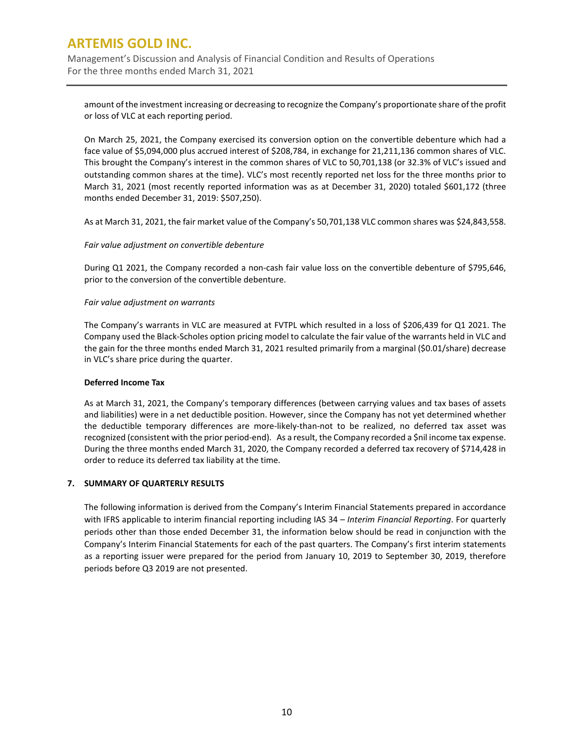Management's Discussion and Analysis of Financial Condition and Results of Operations For the three months ended March 31, 2021

amount of the investment increasing or decreasing to recognize the Company's proportionate share of the profit or loss of VLC at each reporting period.

On March 25, 2021, the Company exercised its conversion option on the convertible debenture which had a face value of \$5,094,000 plus accrued interest of \$208,784, in exchange for 21,211,136 common shares of VLC. This brought the Company's interest in the common shares of VLC to 50,701,138 (or 32.3% of VLC's issued and outstanding common shares at the time). VLC's most recently reported net loss for the three months prior to March 31, 2021 (most recently reported information was as at December 31, 2020) totaled \$601,172 (three months ended December 31, 2019: \$507,250).

As at March 31, 2021, the fair market value of the Company's 50,701,138 VLC common shares was \$24,843,558.

### *Fair value adjustment on convertible debenture*

During Q1 2021, the Company recorded a non-cash fair value loss on the convertible debenture of \$795,646, prior to the conversion of the convertible debenture.

#### *Fair value adjustment on warrants*

The Company's warrants in VLC are measured at FVTPL which resulted in a loss of \$206,439 for Q1 2021. The Company used the Black-Scholes option pricing model to calculate the fair value of the warrants held in VLC and the gain for the three months ended March 31, 2021 resulted primarily from a marginal (\$0.01/share) decrease in VLC's share price during the quarter.

#### **Deferred Income Tax**

As at March 31, 2021, the Company's temporary differences (between carrying values and tax bases of assets and liabilities) were in a net deductible position. However, since the Company has not yet determined whether the deductible temporary differences are more-likely-than-not to be realized, no deferred tax asset was recognized (consistent with the prior period-end). As a result, the Company recorded a \$nil income tax expense. During the three months ended March 31, 2020, the Company recorded a deferred tax recovery of \$714,428 in order to reduce its deferred tax liability at the time.

### **7. SUMMARY OF QUARTERLY RESULTS**

The following information is derived from the Company's Interim Financial Statements prepared in accordance with IFRS applicable to interim financial reporting including IAS 34 – *Interim Financial Reporting*. For quarterly periods other than those ended December 31, the information below should be read in conjunction with the Company's Interim Financial Statements for each of the past quarters. The Company's first interim statements as a reporting issuer were prepared for the period from January 10, 2019 to September 30, 2019, therefore periods before Q3 2019 are not presented.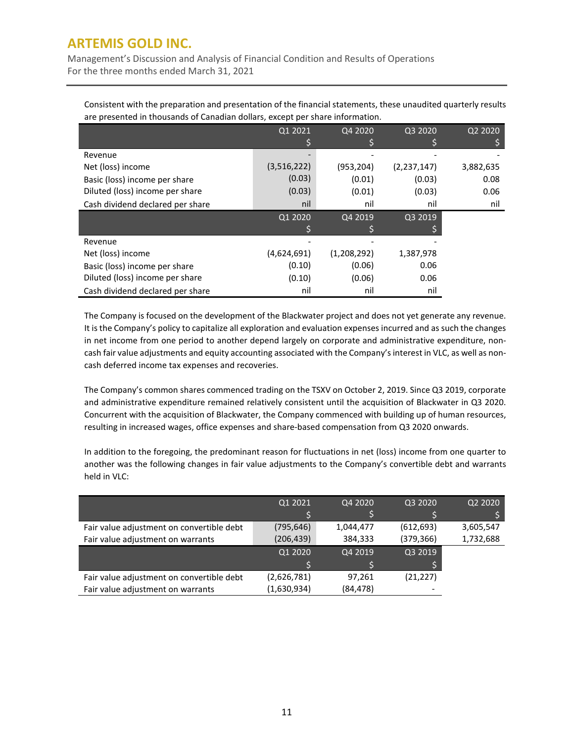Management's Discussion and Analysis of Financial Condition and Results of Operations For the three months ended March 31, 2021

Consistent with the preparation and presentation of the financial statements, these unaudited quarterly results are presented in thousands of Canadian dollars, except per share information.

|                                  | Q1 2021     | Q4 2020     | Q3 2020       | Q2 2020   |
|----------------------------------|-------------|-------------|---------------|-----------|
|                                  |             |             |               |           |
| Revenue                          |             |             |               |           |
| Net (loss) income                | (3,516,222) | (953, 204)  | (2, 237, 147) | 3,882,635 |
| Basic (loss) income per share    | (0.03)      | (0.01)      | (0.03)        | 0.08      |
| Diluted (loss) income per share  | (0.03)      | (0.01)      | (0.03)        | 0.06      |
| Cash dividend declared per share | nil         | nil         | nil           | nil       |
|                                  | Q1 2020     | Q4 2019     | Q3 2019       |           |
|                                  |             |             |               |           |
| Revenue                          |             |             |               |           |
| Net (loss) income                | (4,624,691) | (1,208,292) | 1,387,978     |           |
| Basic (loss) income per share    | (0.10)      | (0.06)      | 0.06          |           |
| Diluted (loss) income per share  | (0.10)      | (0.06)      | 0.06          |           |
| Cash dividend declared per share | nil         | nil         | nil           |           |

The Company is focused on the development of the Blackwater project and does not yet generate any revenue. It is the Company's policy to capitalize all exploration and evaluation expenses incurred and as such the changes in net income from one period to another depend largely on corporate and administrative expenditure, noncash fair value adjustments and equity accounting associated with the Company's interest in VLC, as well as noncash deferred income tax expenses and recoveries.

The Company's common shares commenced trading on the TSXV on October 2, 2019. Since Q3 2019, corporate and administrative expenditure remained relatively consistent until the acquisition of Blackwater in Q3 2020. Concurrent with the acquisition of Blackwater, the Company commenced with building up of human resources, resulting in increased wages, office expenses and share-based compensation from Q3 2020 onwards.

In addition to the foregoing, the predominant reason for fluctuations in net (loss) income from one quarter to another was the following changes in fair value adjustments to the Company's convertible debt and warrants held in VLC:

|                                           | Q1 2021     | Q4 2020   | Q3 2020    | Q2 2020   |
|-------------------------------------------|-------------|-----------|------------|-----------|
|                                           |             |           |            |           |
| Fair value adjustment on convertible debt | (795, 646)  | 1,044,477 | (612, 693) | 3,605,547 |
| Fair value adjustment on warrants         | (206, 439)  | 384,333   | (379, 366) | 1,732,688 |
|                                           | Q1 2020     | Q4 2019   | Q3 2019    |           |
|                                           |             |           |            |           |
| Fair value adjustment on convertible debt | (2,626,781) | 97,261    | (21, 227)  |           |
| Fair value adjustment on warrants         | (1,630,934) | (84, 478) |            |           |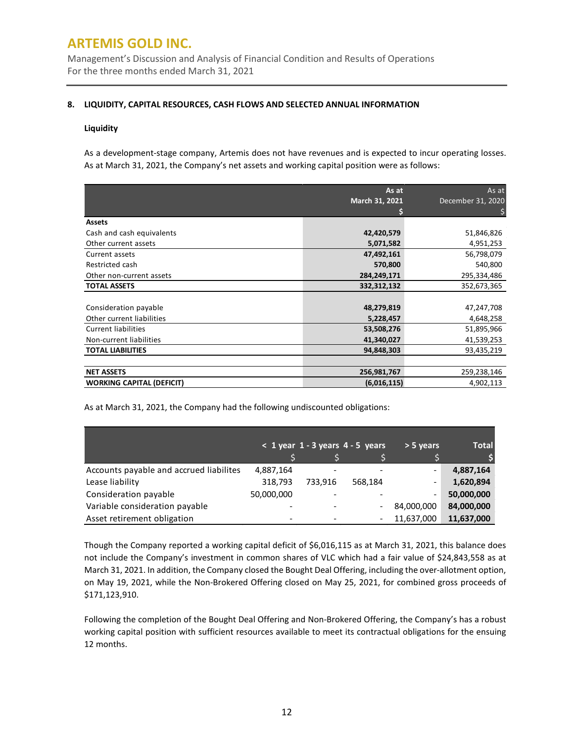Management's Discussion and Analysis of Financial Condition and Results of Operations For the three months ended March 31, 2021

### **8. LIQUIDITY, CAPITAL RESOURCES, CASH FLOWS AND SELECTED ANNUAL INFORMATION**

### **Liquidity**

As a development-stage company, Artemis does not have revenues and is expected to incur operating losses. As at March 31, 2021, the Company's net assets and working capital position were as follows:

|                                  | As at          | As at             |
|----------------------------------|----------------|-------------------|
|                                  | March 31, 2021 | December 31, 2020 |
|                                  |                |                   |
| <b>Assets</b>                    |                |                   |
| Cash and cash equivalents        | 42,420,579     | 51,846,826        |
| Other current assets             | 5,071,582      | 4,951,253         |
| Current assets                   | 47,492,161     | 56,798,079        |
| Restricted cash                  | 570,800        | 540,800           |
| Other non-current assets         | 284,249,171    | 295,334,486       |
| <b>TOTAL ASSETS</b>              | 332,312,132    | 352,673,365       |
|                                  |                |                   |
| Consideration payable            | 48,279,819     | 47,247,708        |
| Other current liabilities        | 5,228,457      | 4,648,258         |
| <b>Current liabilities</b>       | 53,508,276     | 51,895,966        |
| Non-current liabilities          | 41,340,027     | 41,539,253        |
| <b>TOTAL LIABILITIES</b>         | 94,848,303     | 93,435,219        |
|                                  |                |                   |
| <b>NET ASSETS</b>                | 256,981,767    | 259,238,146       |
| <b>WORKING CAPITAL (DEFICIT)</b> | (6,016,115)    | 4,902,113         |

As at March 31, 2021, the Company had the following undiscounted obligations:

|                                         |            | $< 1$ year 1 - 3 years 4 - 5 years |         | $> 5$ years              | <b>Total</b> |
|-----------------------------------------|------------|------------------------------------|---------|--------------------------|--------------|
|                                         |            |                                    |         |                          |              |
| Accounts payable and accrued liabilites | 4,887,164  |                                    |         | $\overline{\phantom{a}}$ | 4,887,164    |
| Lease liability                         | 318,793    | 733.916                            | 568.184 | $\overline{\phantom{a}}$ | 1,620,894    |
| Consideration payable                   | 50,000,000 |                                    |         | $\overline{\phantom{a}}$ | 50,000,000   |
| Variable consideration payable          |            |                                    |         | 84,000,000               | 84,000,000   |
| Asset retirement obligation             |            |                                    |         | 11,637,000               | 11,637,000   |

Though the Company reported a working capital deficit of \$6,016,115 as at March 31, 2021, this balance does not include the Company's investment in common shares of VLC which had a fair value of \$24,843,558 as at March 31, 2021. In addition, the Company closed the Bought Deal Offering, including the over-allotment option, on May 19, 2021, while the Non-Brokered Offering closed on May 25, 2021, for combined gross proceeds of \$171,123,910.

Following the completion of the Bought Deal Offering and Non-Brokered Offering, the Company's has a robust working capital position with sufficient resources available to meet its contractual obligations for the ensuing 12 months.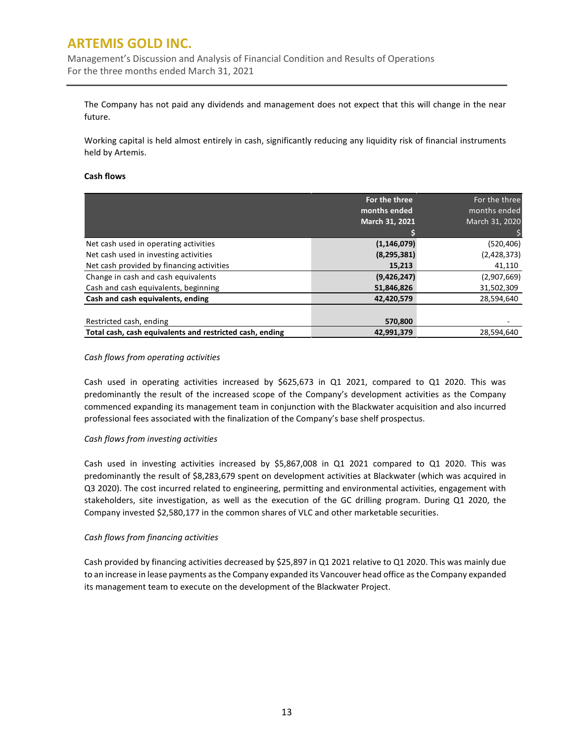Management's Discussion and Analysis of Financial Condition and Results of Operations For the three months ended March 31, 2021

The Company has not paid any dividends and management does not expect that this will change in the near future.

Working capital is held almost entirely in cash, significantly reducing any liquidity risk of financial instruments held by Artemis.

### **Cash flows**

|                                                          | For the three<br>months ended | For the three<br>months ended |
|----------------------------------------------------------|-------------------------------|-------------------------------|
|                                                          | March 31, 2021                | March 31, 2020                |
|                                                          |                               |                               |
| Net cash used in operating activities                    | (1, 146, 079)                 | (520, 406)                    |
| Net cash used in investing activities                    | (8, 295, 381)                 | (2,428,373)                   |
| Net cash provided by financing activities                | 15,213                        | 41,110                        |
| Change in cash and cash equivalents                      | (9,426,247)                   | (2,907,669)                   |
| Cash and cash equivalents, beginning                     | 51,846,826                    | 31,502,309                    |
| Cash and cash equivalents, ending                        | 42,420,579                    | 28,594,640                    |
|                                                          |                               |                               |
| Restricted cash, ending                                  | 570,800                       |                               |
| Total cash, cash equivalents and restricted cash, ending | 42,991,379                    | 28.594.640                    |

### *Cash flows from operating activities*

Cash used in operating activities increased by \$625,673 in Q1 2021, compared to Q1 2020. This was predominantly the result of the increased scope of the Company's development activities as the Company commenced expanding its management team in conjunction with the Blackwater acquisition and also incurred professional fees associated with the finalization of the Company's base shelf prospectus.

### *Cash flows from investing activities*

Cash used in investing activities increased by \$5,867,008 in Q1 2021 compared to Q1 2020. This was predominantly the result of \$8,283,679 spent on development activities at Blackwater (which was acquired in Q3 2020). The cost incurred related to engineering, permitting and environmental activities, engagement with stakeholders, site investigation, as well as the execution of the GC drilling program. During Q1 2020, the Company invested \$2,580,177 in the common shares of VLC and other marketable securities.

### *Cash flows from financing activities*

Cash provided by financing activities decreased by \$25,897 in Q1 2021 relative to Q1 2020. This was mainly due to an increase in lease payments as the Company expanded its Vancouver head office as the Company expanded its management team to execute on the development of the Blackwater Project.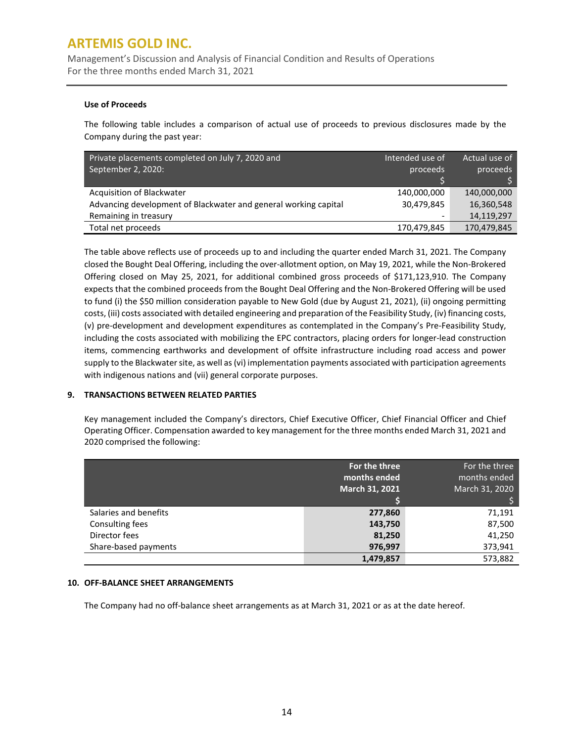Management's Discussion and Analysis of Financial Condition and Results of Operations For the three months ended March 31, 2021

### **Use of Proceeds**

The following table includes a comparison of actual use of proceeds to previous disclosures made by the Company during the past year:

| Private placements completed on July 7, 2020 and<br>September 2, 2020: | Intended use of<br>proceeds | Actual use of<br>proceeds |
|------------------------------------------------------------------------|-----------------------------|---------------------------|
|                                                                        |                             |                           |
| Acquisition of Blackwater                                              | 140,000,000                 | 140,000,000               |
| Advancing development of Blackwater and general working capital        | 30,479,845                  | 16,360,548                |
| Remaining in treasury                                                  |                             | 14,119,297                |
| Total net proceeds                                                     | 170,479,845                 | 170,479,845               |

The table above reflects use of proceeds up to and including the quarter ended March 31, 2021. The Company closed the Bought Deal Offering, including the over-allotment option, on May 19, 2021, while the Non-Brokered Offering closed on May 25, 2021, for additional combined gross proceeds of \$171,123,910. The Company expects that the combined proceeds from the Bought Deal Offering and the Non-Brokered Offering will be used to fund (i) the \$50 million consideration payable to New Gold (due by August 21, 2021), (ii) ongoing permitting costs, (iii) costs associated with detailed engineering and preparation of the Feasibility Study, (iv) financing costs, (v) pre-development and development expenditures as contemplated in the Company's Pre-Feasibility Study, including the costs associated with mobilizing the EPC contractors, placing orders for longer-lead construction items, commencing earthworks and development of offsite infrastructure including road access and power supply to the Blackwater site, as well as (vi) implementation payments associated with participation agreements with indigenous nations and (vii) general corporate purposes.

### **9. TRANSACTIONS BETWEEN RELATED PARTIES**

Key management included the Company's directors, Chief Executive Officer, Chief Financial Officer and Chief Operating Officer. Compensation awarded to key management for the three months ended March 31, 2021 and 2020 comprised the following:

|                       | For the three<br>months ended<br>March 31, 2021 | For the three<br>months ended<br>March 31, 2020 |
|-----------------------|-------------------------------------------------|-------------------------------------------------|
|                       |                                                 |                                                 |
| Salaries and benefits | 277,860                                         | 71,191                                          |
| Consulting fees       | 143,750                                         | 87,500                                          |
| Director fees         | 81,250                                          | 41,250                                          |
| Share-based payments  | 976,997                                         | 373,941                                         |
|                       | 1,479,857                                       | 573,882                                         |

### **10. OFF-BALANCE SHEET ARRANGEMENTS**

The Company had no off-balance sheet arrangements as at March 31, 2021 or as at the date hereof.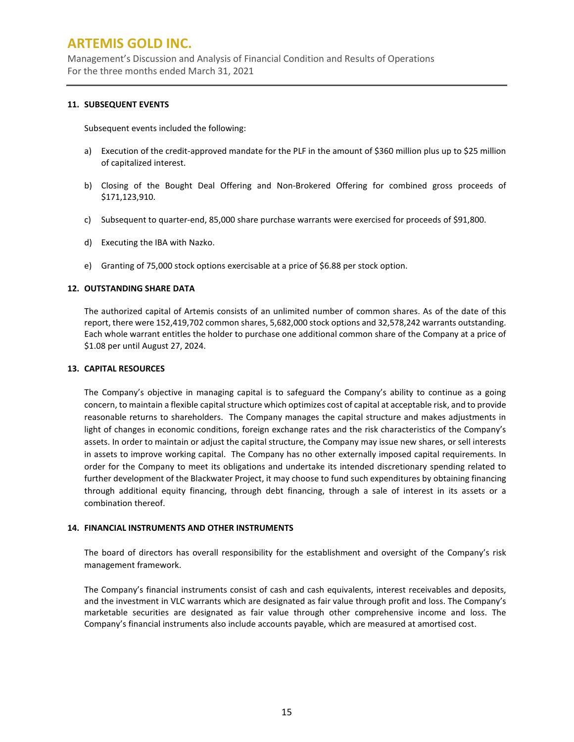Management's Discussion and Analysis of Financial Condition and Results of Operations For the three months ended March 31, 2021

### **11. SUBSEQUENT EVENTS**

Subsequent events included the following:

- a) Execution of the credit-approved mandate for the PLF in the amount of \$360 million plus up to \$25 million of capitalized interest.
- b) Closing of the Bought Deal Offering and Non-Brokered Offering for combined gross proceeds of \$171,123,910.
- c) Subsequent to quarter-end, 85,000 share purchase warrants were exercised for proceeds of \$91,800.
- d) Executing the IBA with Nazko.
- e) Granting of 75,000 stock options exercisable at a price of \$6.88 per stock option.

### **12. OUTSTANDING SHARE DATA**

The authorized capital of Artemis consists of an unlimited number of common shares. As of the date of this report, there were 152,419,702 common shares, 5,682,000 stock options and 32,578,242 warrants outstanding. Each whole warrant entitles the holder to purchase one additional common share of the Company at a price of \$1.08 per until August 27, 2024.

#### **13. CAPITAL RESOURCES**

The Company's objective in managing capital is to safeguard the Company's ability to continue as a going concern, to maintain a flexible capital structure which optimizes cost of capital at acceptable risk, and to provide reasonable returns to shareholders. The Company manages the capital structure and makes adjustments in light of changes in economic conditions, foreign exchange rates and the risk characteristics of the Company's assets. In order to maintain or adjust the capital structure, the Company may issue new shares, or sell interests in assets to improve working capital. The Company has no other externally imposed capital requirements. In order for the Company to meet its obligations and undertake its intended discretionary spending related to further development of the Blackwater Project, it may choose to fund such expenditures by obtaining financing through additional equity financing, through debt financing, through a sale of interest in its assets or a combination thereof.

#### **14. FINANCIAL INSTRUMENTS AND OTHER INSTRUMENTS**

The board of directors has overall responsibility for the establishment and oversight of the Company's risk management framework.

The Company's financial instruments consist of cash and cash equivalents, interest receivables and deposits, and the investment in VLC warrants which are designated as fair value through profit and loss. The Company's marketable securities are designated as fair value through other comprehensive income and loss. The Company's financial instruments also include accounts payable, which are measured at amortised cost.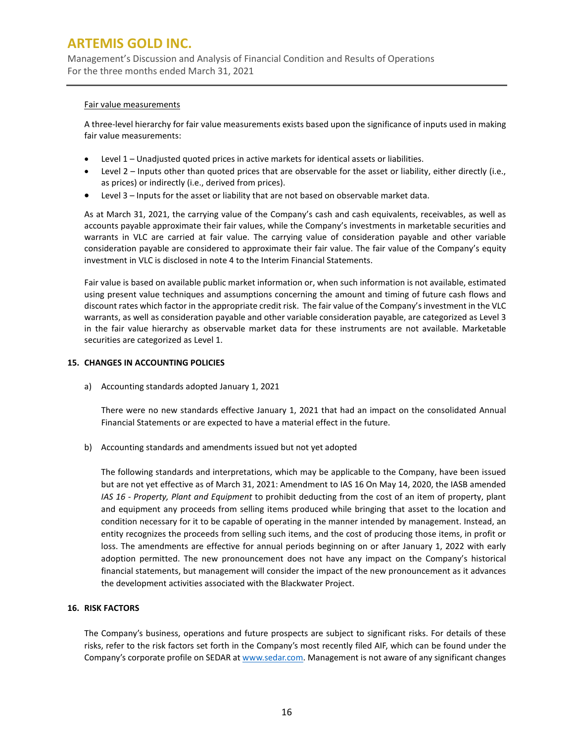Management's Discussion and Analysis of Financial Condition and Results of Operations For the three months ended March 31, 2021

#### Fair value measurements

A three-level hierarchy for fair value measurements exists based upon the significance of inputs used in making fair value measurements:

- Level 1 Unadjusted quoted prices in active markets for identical assets or liabilities.
- Level 2 Inputs other than quoted prices that are observable for the asset or liability, either directly (i.e., as prices) or indirectly (i.e., derived from prices).
- Level 3 Inputs for the asset or liability that are not based on observable market data.

As at March 31, 2021, the carrying value of the Company's cash and cash equivalents, receivables, as well as accounts payable approximate their fair values, while the Company's investments in marketable securities and warrants in VLC are carried at fair value. The carrying value of consideration payable and other variable consideration payable are considered to approximate their fair value. The fair value of the Company's equity investment in VLC is disclosed in note 4 to the Interim Financial Statements.

Fair value is based on available public market information or, when such information is not available, estimated using present value techniques and assumptions concerning the amount and timing of future cash flows and discount rates which factor in the appropriate credit risk. The fair value of the Company's investment in the VLC warrants, as well as consideration payable and other variable consideration payable, are categorized as Level 3 in the fair value hierarchy as observable market data for these instruments are not available. Marketable securities are categorized as Level 1.

### **15. CHANGES IN ACCOUNTING POLICIES**

a) Accounting standards adopted January 1, 2021

There were no new standards effective January 1, 2021 that had an impact on the consolidated Annual Financial Statements or are expected to have a material effect in the future.

b) Accounting standards and amendments issued but not yet adopted

The following standards and interpretations, which may be applicable to the Company, have been issued but are not yet effective as of March 31, 2021: Amendment to IAS 16 On May 14, 2020, the IASB amended *IAS 16 - Property, Plant and Equipment* to prohibit deducting from the cost of an item of property, plant and equipment any proceeds from selling items produced while bringing that asset to the location and condition necessary for it to be capable of operating in the manner intended by management. Instead, an entity recognizes the proceeds from selling such items, and the cost of producing those items, in profit or loss. The amendments are effective for annual periods beginning on or after January 1, 2022 with early adoption permitted. The new pronouncement does not have any impact on the Company's historical financial statements, but management will consider the impact of the new pronouncement as it advances the development activities associated with the Blackwater Project.

### **16. RISK FACTORS**

The Company's business, operations and future prospects are subject to significant risks. For details of these risks, refer to the risk factors set forth in the Company's most recently filed AIF, which can be found under the Company's corporate profile on SEDAR at [www.sedar.com.](http://www.sedar.com/) Management is not aware of any significant changes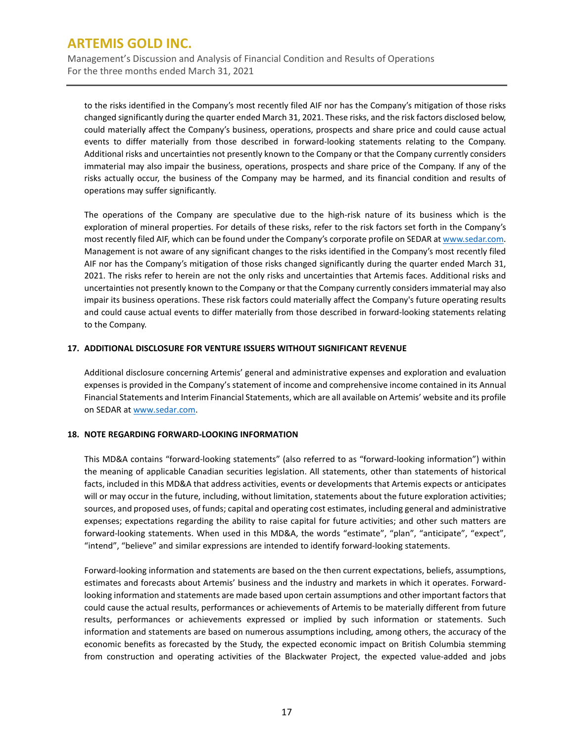Management's Discussion and Analysis of Financial Condition and Results of Operations For the three months ended March 31, 2021

to the risks identified in the Company's most recently filed AIF nor has the Company's mitigation of those risks changed significantly during the quarter ended March 31, 2021. These risks, and the risk factors disclosed below, could materially affect the Company's business, operations, prospects and share price and could cause actual events to differ materially from those described in forward-looking statements relating to the Company. Additional risks and uncertainties not presently known to the Company or that the Company currently considers immaterial may also impair the business, operations, prospects and share price of the Company. If any of the risks actually occur, the business of the Company may be harmed, and its financial condition and results of operations may suffer significantly.

The operations of the Company are speculative due to the high-risk nature of its business which is the exploration of mineral properties. For details of these risks, refer to the risk factors set forth in the Company's most recently filed AIF, which can be found under the Company's corporate profile on SEDAR a[t www.sedar.com.](http://www.sedar.com/) Management is not aware of any significant changes to the risks identified in the Company's most recently filed AIF nor has the Company's mitigation of those risks changed significantly during the quarter ended March 31, 2021. The risks refer to herein are not the only risks and uncertainties that Artemis faces. Additional risks and uncertainties not presently known to the Company or that the Company currently considers immaterial may also impair its business operations. These risk factors could materially affect the Company's future operating results and could cause actual events to differ materially from those described in forward-looking statements relating to the Company.

### **17. ADDITIONAL DISCLOSURE FOR VENTURE ISSUERS WITHOUT SIGNIFICANT REVENUE**

Additional disclosure concerning Artemis' general and administrative expenses and exploration and evaluation expenses is provided in the Company's statement of income and comprehensive income contained in its Annual Financial Statements and Interim Financial Statements, which are all available on Artemis' website and its profile on SEDAR a[t www.sedar.com.](http://www.sedar.com/)

### **18. NOTE REGARDING FORWARD-LOOKING INFORMATION**

This MD&A contains "forward-looking statements" (also referred to as "forward-looking information") within the meaning of applicable Canadian securities legislation. All statements, other than statements of historical facts, included in this MD&A that address activities, events or developments that Artemis expects or anticipates will or may occur in the future, including, without limitation, statements about the future exploration activities; sources, and proposed uses, of funds; capital and operating cost estimates, including general and administrative expenses; expectations regarding the ability to raise capital for future activities; and other such matters are forward-looking statements. When used in this MD&A, the words "estimate", "plan", "anticipate", "expect", "intend", "believe" and similar expressions are intended to identify forward-looking statements.

Forward-looking information and statements are based on the then current expectations, beliefs, assumptions, estimates and forecasts about Artemis' business and the industry and markets in which it operates. Forwardlooking information and statements are made based upon certain assumptions and other important factors that could cause the actual results, performances or achievements of Artemis to be materially different from future results, performances or achievements expressed or implied by such information or statements. Such information and statements are based on numerous assumptions including, among others, the accuracy of the economic benefits as forecasted by the Study, the expected economic impact on British Columbia stemming from construction and operating activities of the Blackwater Project, the expected value-added and jobs